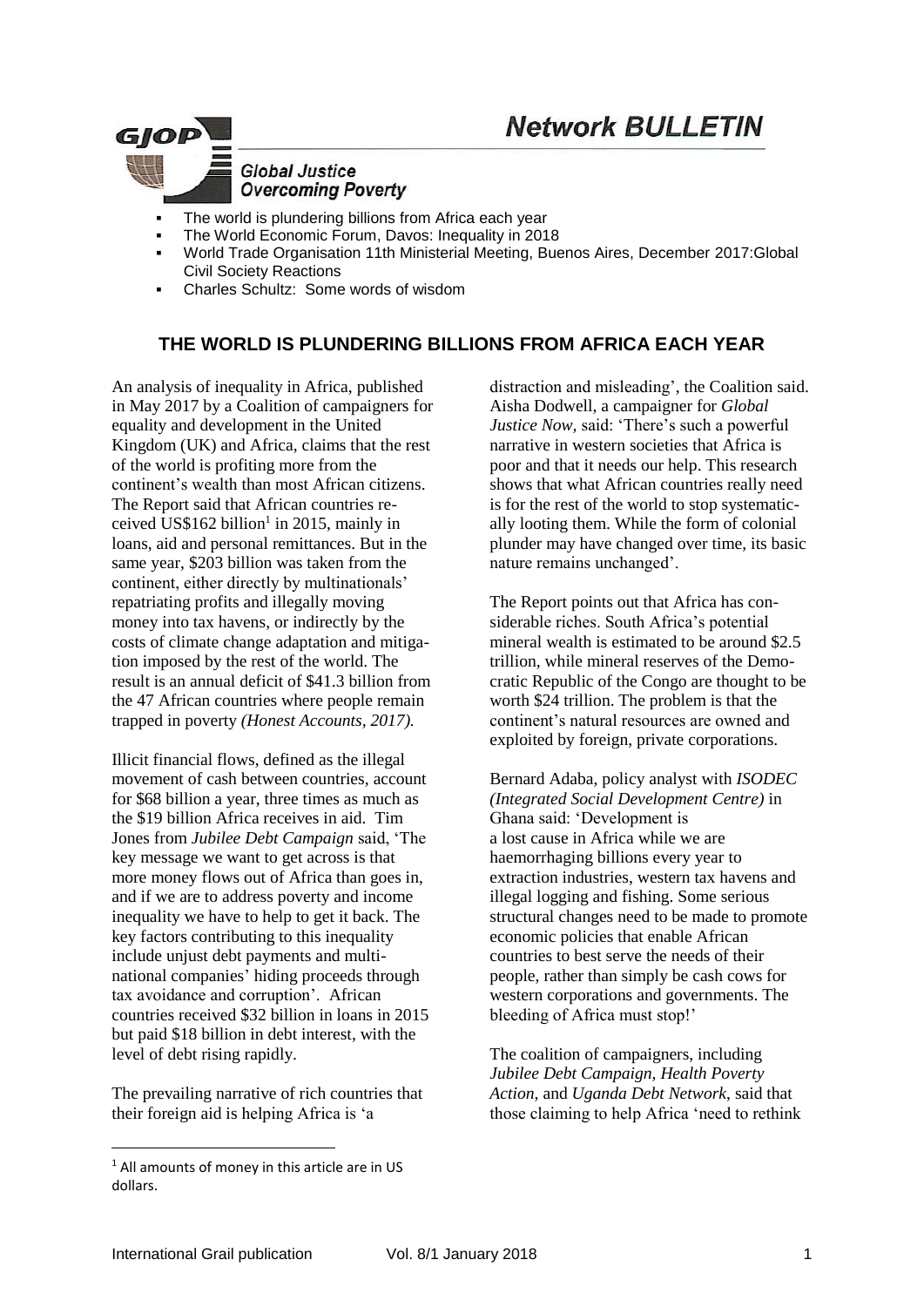# **Network BULLETIN**



- The world is plundering billions from Africa each year
- The World Economic Forum, Davos: Inequality in 2018
- World Trade Organisation 11th Ministerial Meeting, Buenos Aires, December 2017:Global Civil Society Reactions
- Charles Schultz: Some words of wisdom

# **THE WORLD IS PLUNDERING BILLIONS FROM AFRICA EACH YEAR**

An analysis of inequality in Africa, published in May 2017 by a Coalition of campaigners for equality and development in the United Kingdom (UK) and Africa, claims that the rest of the world is profiting more from the continent's wealth than most African citizens. The Report said that African countries received US\$162 billion<sup>1</sup> in 2015, mainly in loans, aid and personal remittances. But in the same year, \$203 billion was taken from the continent, either directly by multinationals' repatriating profits and illegally moving money into tax havens, or indirectly by the costs of climate change adaptation and mitigation imposed by the rest of the world. The result is an annual deficit of \$41.3 billion from the 47 African countries where people remain trapped in poverty *(Honest Accounts, 2017).*

Illicit financial flows, defined as the illegal movement of cash between countries, account for \$68 billion a year, three times as much as the \$19 billion Africa receives in aid. Tim Jones from *Jubilee Debt Campaign* said, 'The key message we want to get across is that more money flows out of Africa than goes in, and if we are to address poverty and income inequality we have to help to get it back. The key factors contributing to this inequality include unjust debt payments and multinational companies' hiding proceeds through tax avoidance and corruption'. African countries received \$32 billion in loans in 2015 but paid \$18 billion in debt interest, with the level of debt rising rapidly.

The prevailing narrative of rich countries that their foreign aid is helping Africa is 'a

distraction and misleading', the Coalition said. Aisha Dodwell, a campaigner for *Global Justice Now,* said: 'There's such a powerful narrative in western societies that Africa is poor and that it needs our help. This research shows that what African countries really need is for the rest of the world to stop systematically looting them. While the form of colonial plunder may have changed over time, its basic nature remains unchanged'.

The Report points out that Africa has considerable riches. South Africa's potential mineral wealth is estimated to be around \$2.5 trillion, while mineral reserves of the Democratic Republic of the Congo are thought to be worth \$24 trillion. The problem is that the continent's natural resources are owned and exploited by foreign, private corporations.

Bernard Adaba, policy analyst with *ISODEC (Integrated Social Development Centre)* in Ghana said: 'Development is a lost cause in Africa while we are haemorrhaging billions every year to extraction industries, western tax havens and illegal logging and fishing. Some serious structural changes need to be made to promote economic policies that enable African countries to best serve the needs of their people, rather than simply be cash cows for western corporations and governments. The bleeding of Africa must stop!'

The coalition of campaigners, including *Jubilee Debt Campaign, Health Poverty Action*, and *Uganda Debt Network*, said that those claiming to help Africa 'need to rethink

<u>.</u>

<sup>&</sup>lt;sup>1</sup> All amounts of money in this article are in US dollars.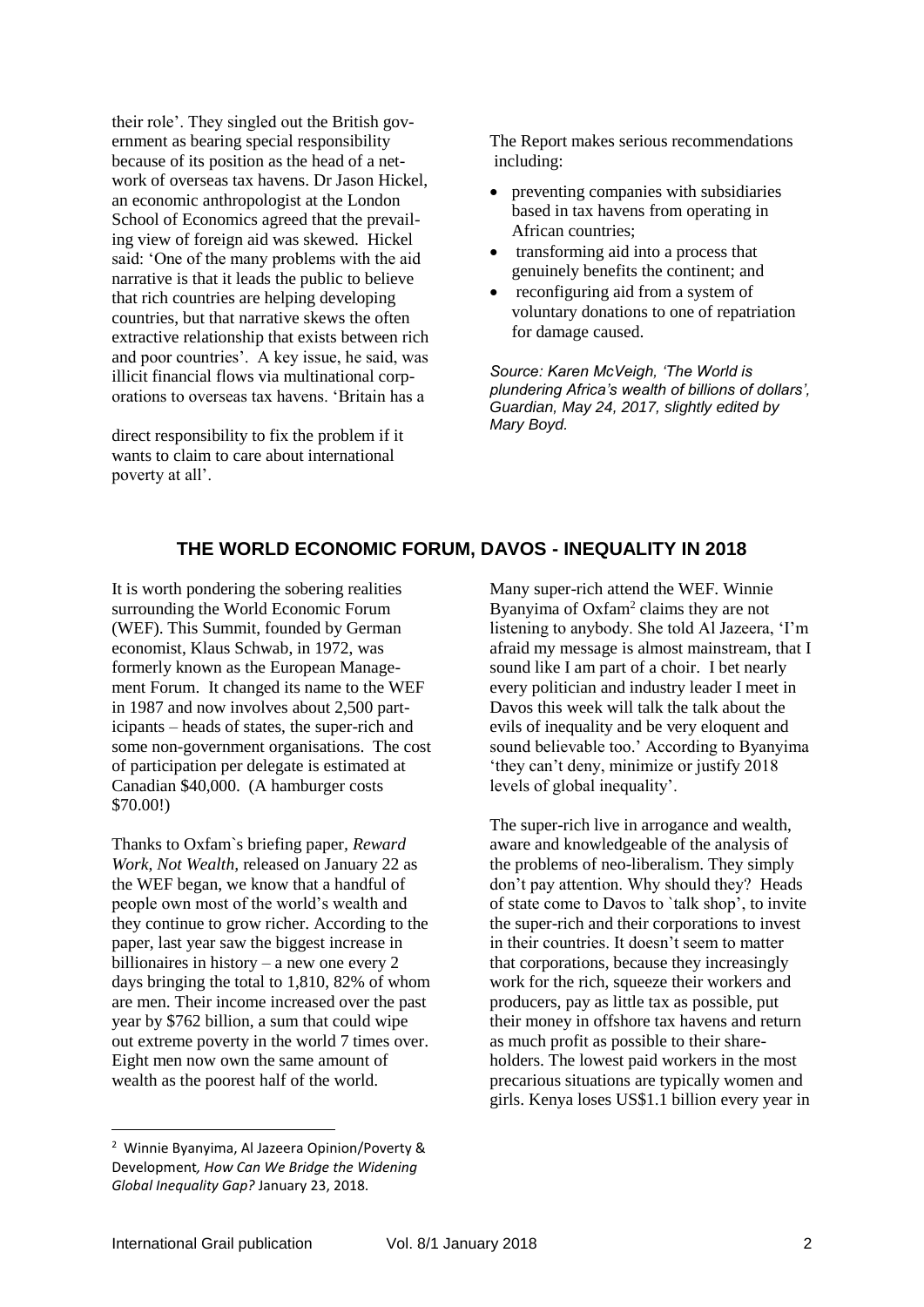their role'. They singled out the British government as bearing special responsibility because of its position as the head of a network of overseas tax havens. Dr Jason Hickel, an economic anthropologist at the London School of Economics agreed that the prevailing view of foreign aid was skewed. Hickel said: 'One of the many problems with the aid narrative is that it leads the public to believe that rich countries are helping developing countries, but that narrative skews the often extractive relationship that exists between rich and poor countries'. A key issue, he said, was illicit financial flows via multinational corporations to overseas tax havens. 'Britain has a

direct responsibility to fix the problem if it wants to claim to care about international poverty at all'.

The Report makes serious recommendations including:

- preventing companies with subsidiaries based in tax havens from operating in African countries;
- transforming aid into a process that genuinely benefits the continent; and
- reconfiguring aid from a system of voluntary donations to one of repatriation for damage caused.

*Source: Karen McVeigh, 'The World is plundering Africa's wealth of billions of dollars', Guardian, May 24, 2017, slightly edited by Mary Boyd.*

### **THE WORLD ECONOMIC FORUM, DAVOS - INEQUALITY IN 2018**

It is worth pondering the sobering realities surrounding the World Economic Forum (WEF). This Summit, founded by German economist, Klaus Schwab, in 1972, was formerly known as the European Management Forum. It changed its name to the WEF in 1987 and now involves about 2,500 participants – heads of states, the super-rich and some non-government organisations. The cost of participation per delegate is estimated at Canadian \$40,000. (A hamburger costs \$70.00!)

Thanks to Oxfam`s briefing paper*, Reward Work, Not Wealth,* released on January 22 as the WEF began, we know that a handful of people own most of the world's wealth and they continue to grow richer. According to the paper, last year saw the biggest increase in billionaires in history – a new one every 2 days bringing the total to 1,810, 82% of whom are men. Their income increased over the past year by \$762 billion, a sum that could wipe out extreme poverty in the world 7 times over. Eight men now own the same amount of wealth as the poorest half of the world.

Many super-rich attend the WEF. Winnie Byanyima of Oxfam<sup>2</sup> claims they are not listening to anybody. She told Al Jazeera, 'I'm afraid my message is almost mainstream, that I sound like I am part of a choir. I bet nearly every politician and industry leader I meet in Davos this week will talk the talk about the evils of inequality and be very eloquent and sound believable too.' According to Byanyima 'they can't deny, minimize or justify 2018 levels of global inequality'.

The super-rich live in arrogance and wealth, aware and knowledgeable of the analysis of the problems of neo-liberalism. They simply don't pay attention. Why should they? Heads of state come to Davos to `talk shop', to invite the super-rich and their corporations to invest in their countries. It doesn't seem to matter that corporations, because they increasingly work for the rich, squeeze their workers and producers, pay as little tax as possible, put their money in offshore tax havens and return as much profit as possible to their shareholders. The lowest paid workers in the most precarious situations are typically women and girls. Kenya loses US\$1.1 billion every year in

1

<sup>2</sup> Winnie Byanyima, Al Jazeera Opinion/Poverty & Development*, How Can We Bridge the Widening Global Inequality Gap?* January 23, 2018.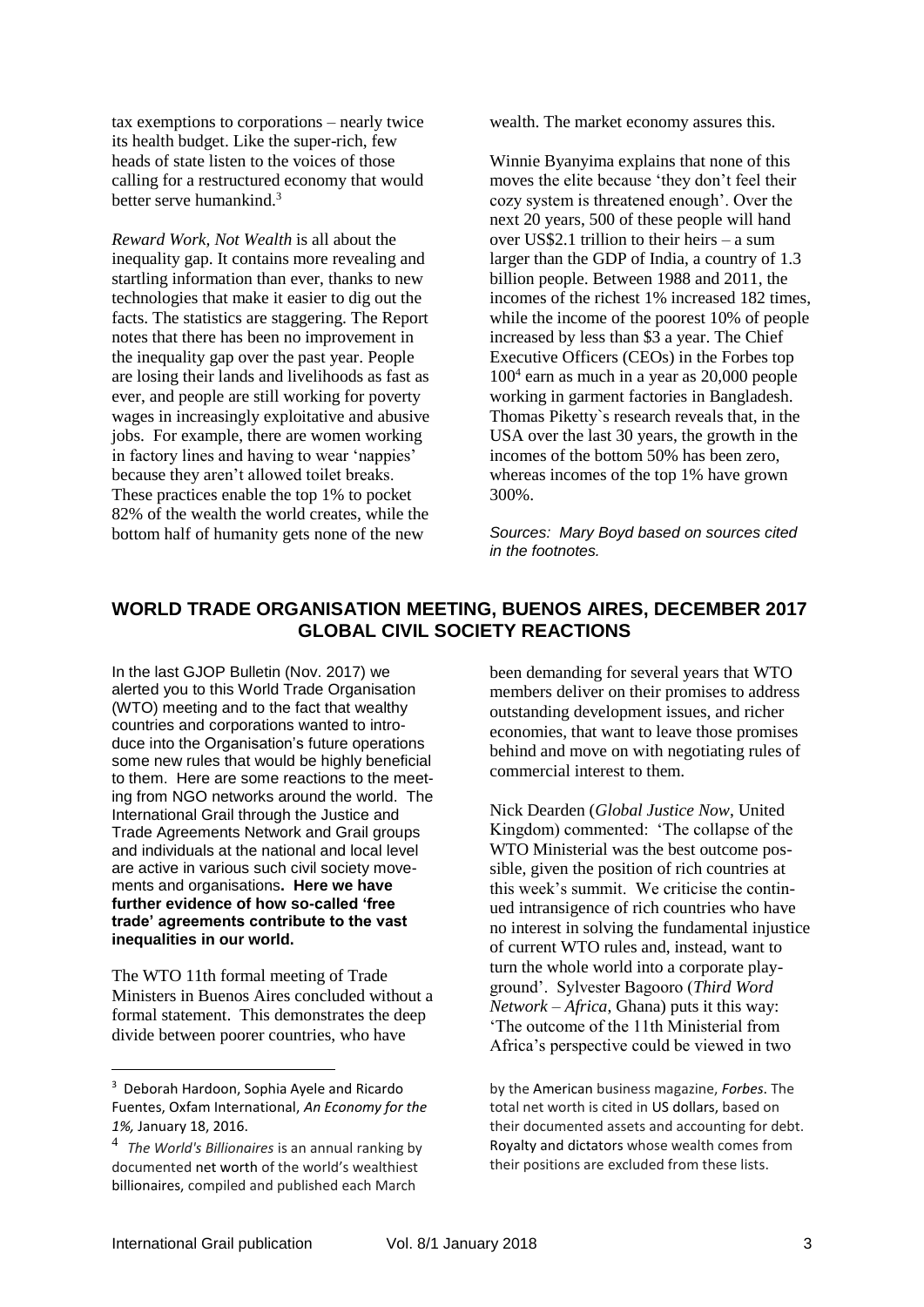tax exemptions to corporations – nearly twice its health budget. Like the super-rich, few heads of state listen to the voices of those calling for a restructured economy that would better serve humankind $3$ 

*Reward Work, Not Wealth* is all about the inequality gap. It contains more revealing and startling information than ever, thanks to new technologies that make it easier to dig out the facts. The statistics are staggering. The Report notes that there has been no improvement in the inequality gap over the past year. People are losing their lands and livelihoods as fast as ever, and people are still working for poverty wages in increasingly exploitative and abusive jobs. For example, there are women working in factory lines and having to wear 'nappies' because they aren't allowed toilet breaks. These practices enable the top 1% to pocket 82% of the wealth the world creates, while the bottom half of humanity gets none of the new

wealth. The market economy assures this.

Winnie Byanyima explains that none of this moves the elite because 'they don't feel their cozy system is threatened enough'. Over the next 20 years, 500 of these people will hand over US\$2.1 trillion to their heirs – a sum larger than the GDP of India, a country of 1.3 billion people. Between 1988 and 2011, the incomes of the richest 1% increased 182 times, while the income of the poorest 10% of people increased by less than \$3 a year. The Chief Executive Officers (CEOs) in the Forbes top 100<sup>4</sup> earn as much in a year as 20,000 people working in garment factories in Bangladesh. Thomas Piketty`s research reveals that, in the USA over the last 30 years, the growth in the incomes of the bottom 50% has been zero, whereas incomes of the top 1% have grown 300%.

*Sources: Mary Boyd based on sources cited in the footnotes.*

### **WORLD TRADE ORGANISATION MEETING, BUENOS AIRES, DECEMBER 2017 GLOBAL CIVIL SOCIETY REACTIONS**

In the last GJOP Bulletin (Nov. 2017) we alerted you to this World Trade Organisation (WTO) meeting and to the fact that wealthy countries and corporations wanted to introduce into the Organisation's future operations some new rules that would be highly beneficial to them. Here are some reactions to the meeting from NGO networks around the world. The International Grail through the Justice and Trade Agreements Network and Grail groups and individuals at the national and local level are active in various such civil society movements and organisations**. Here we have further evidence of how so-called 'free trade' agreements contribute to the vast inequalities in our world.**

The WTO 11th formal meeting of Trade Ministers in Buenos Aires concluded without a formal statement. This demonstrates the deep divide between poorer countries, who have

been demanding for several years that WTO members deliver on their promises to address outstanding development issues, and richer economies, that want to leave those promises behind and move on with negotiating rules of commercial interest to them.

Nick Dearden (*Global Justice Now*, United Kingdom) commented: 'The collapse of the WTO Ministerial was the best outcome possible, given the position of rich countries at this week's summit. We criticise the continued intransigence of rich countries who have no interest in solving the fundamental injustice of current WTO rules and, instead, want to turn the whole world into a corporate playground'. Sylvester Bagooro (*Third Word Network – Africa*, Ghana) puts it this way: 'The outcome of the 11th Ministerial from Africa's perspective could be viewed in two

by the [American](https://en.wikipedia.org/wiki/United_States) business magazine, *[Forbes](https://en.wikipedia.org/wiki/Forbes)*. The total net worth is cited in US dollars, based on their documented assets and accounting for debt. [Royalty](https://en.wikipedia.org/wiki/Royal_family) and [dictators](https://en.wikipedia.org/wiki/Dictator) whose wealth comes from their positions are excluded from these lists.

1

<sup>3</sup> Deborah Hardoon, Sophia Ayele and Ricardo Fuentes, Oxfam International, *An Economy for the 1%,* January 18, 2016.

<sup>4</sup> *The World's Billionaires* is an annual ranking by documented [net worth](https://en.wikipedia.org/wiki/Net_worth) of the world's wealthiest [billionaires](https://en.wikipedia.org/wiki/Billionaire), compiled and published each March